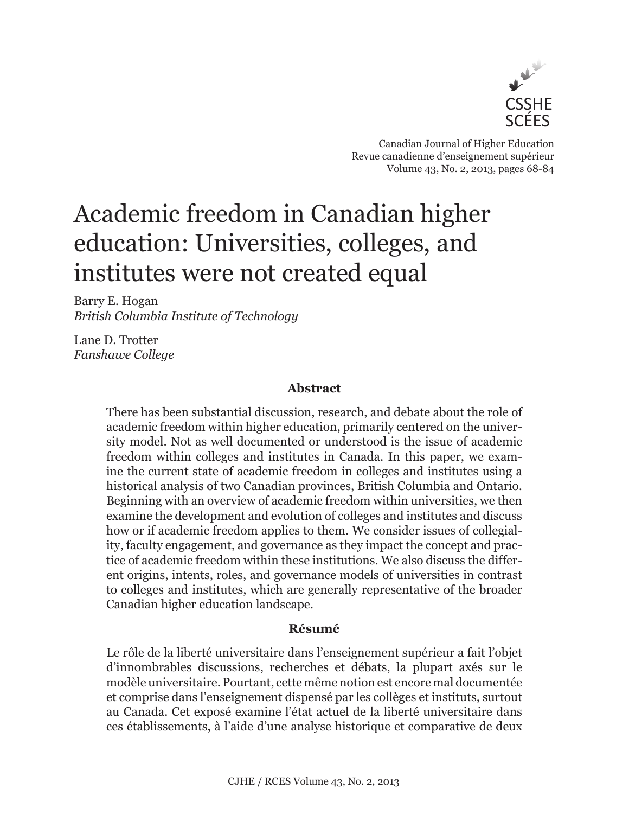

Canadian Journal of Higher Education Revue canadienne d'enseignement supérieur Volume 43, No. 2, 2013, pages 68-84

# Academic freedom in Canadian higher education: Universities, colleges, and institutes were not created equal

Barry E. Hogan *British Columbia Institute of Technology*

Lane D. Trotter *Fanshawe College*

## **Abstract**

There has been substantial discussion, research, and debate about the role of academic freedom within higher education, primarily centered on the university model. Not as well documented or understood is the issue of academic freedom within colleges and institutes in Canada. In this paper, we examine the current state of academic freedom in colleges and institutes using a historical analysis of two Canadian provinces, British Columbia and Ontario. Beginning with an overview of academic freedom within universities, we then examine the development and evolution of colleges and institutes and discuss how or if academic freedom applies to them. We consider issues of collegiality, faculty engagement, and governance as they impact the concept and practice of academic freedom within these institutions. We also discuss the different origins, intents, roles, and governance models of universities in contrast to colleges and institutes, which are generally representative of the broader Canadian higher education landscape.

### **Résumé**

Le rôle de la liberté universitaire dans l'enseignement supérieur a fait l'objet d'innombrables discussions, recherches et débats, la plupart axés sur le modèle universitaire. Pourtant, cette même notion est encore mal documentée et comprise dans l'enseignement dispensé par les collèges et instituts, surtout au Canada. Cet exposé examine l'état actuel de la liberté universitaire dans ces établissements, à l'aide d'une analyse historique et comparative de deux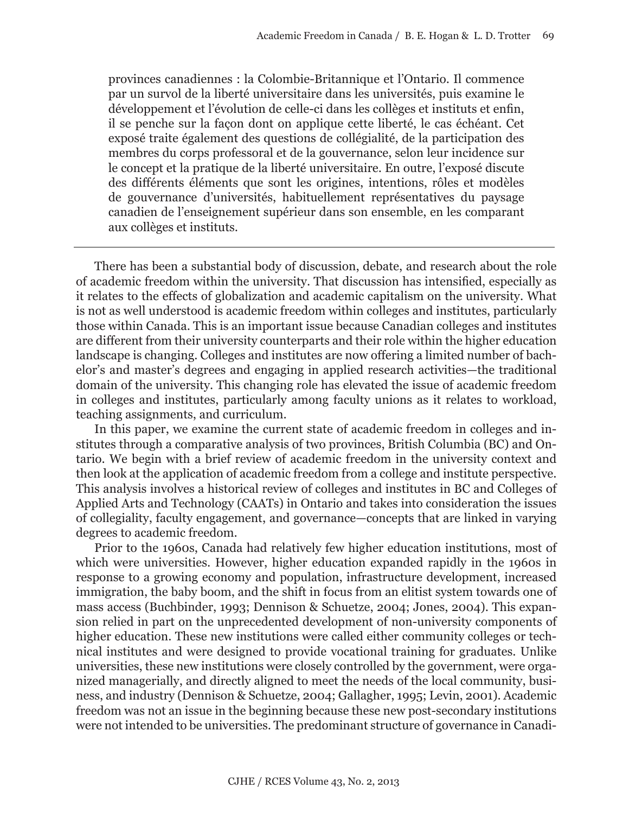provinces canadiennes : la Colombie-Britannique et l'Ontario. Il commence par un survol de la liberté universitaire dans les universités, puis examine le développement et l'évolution de celle-ci dans les collèges et instituts et enfin, il se penche sur la façon dont on applique cette liberté, le cas échéant. Cet exposé traite également des questions de collégialité, de la participation des membres du corps professoral et de la gouvernance, selon leur incidence sur le concept et la pratique de la liberté universitaire. En outre, l'exposé discute des différents éléments que sont les origines, intentions, rôles et modèles de gouvernance d'universités, habituellement représentatives du paysage canadien de l'enseignement supérieur dans son ensemble, en les comparant aux collèges et instituts.

There has been a substantial body of discussion, debate, and research about the role of academic freedom within the university. That discussion has intensified, especially as it relates to the effects of globalization and academic capitalism on the university. What is not as well understood is academic freedom within colleges and institutes, particularly those within Canada. This is an important issue because Canadian colleges and institutes are different from their university counterparts and their role within the higher education landscape is changing. Colleges and institutes are now offering a limited number of bachelor's and master's degrees and engaging in applied research activities—the traditional domain of the university. This changing role has elevated the issue of academic freedom in colleges and institutes, particularly among faculty unions as it relates to workload, teaching assignments, and curriculum.

In this paper, we examine the current state of academic freedom in colleges and institutes through a comparative analysis of two provinces, British Columbia (BC) and Ontario. We begin with a brief review of academic freedom in the university context and then look at the application of academic freedom from a college and institute perspective. This analysis involves a historical review of colleges and institutes in BC and Colleges of Applied Arts and Technology (CAATs) in Ontario and takes into consideration the issues of collegiality, faculty engagement, and governance—concepts that are linked in varying degrees to academic freedom.

Prior to the 1960s, Canada had relatively few higher education institutions, most of which were universities. However, higher education expanded rapidly in the 1960s in response to a growing economy and population, infrastructure development, increased immigration, the baby boom, and the shift in focus from an elitist system towards one of mass access (Buchbinder, 1993; Dennison & Schuetze, 2004; Jones, 2004). This expansion relied in part on the unprecedented development of non-university components of higher education. These new institutions were called either community colleges or technical institutes and were designed to provide vocational training for graduates. Unlike universities, these new institutions were closely controlled by the government, were organized managerially, and directly aligned to meet the needs of the local community, business, and industry (Dennison & Schuetze, 2004; Gallagher, 1995; Levin, 2001). Academic freedom was not an issue in the beginning because these new post-secondary institutions were not intended to be universities. The predominant structure of governance in Canadi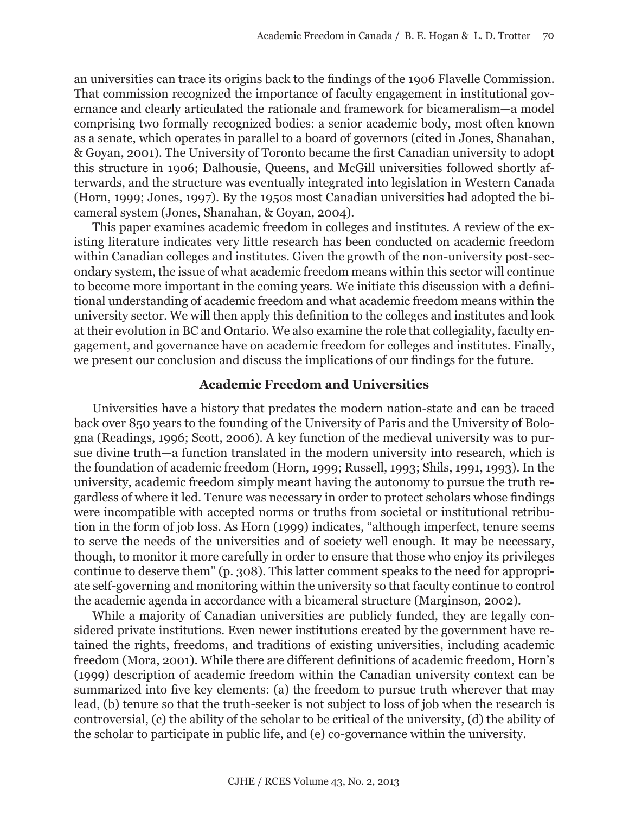an universities can trace its origins back to the findings of the 1906 Flavelle Commission. That commission recognized the importance of faculty engagement in institutional governance and clearly articulated the rationale and framework for bicameralism—a model comprising two formally recognized bodies: a senior academic body, most often known as a senate, which operates in parallel to a board of governors (cited in Jones, Shanahan, & Goyan, 2001). The University of Toronto became the first Canadian university to adopt this structure in 1906; Dalhousie, Queens, and McGill universities followed shortly afterwards, and the structure was eventually integrated into legislation in Western Canada (Horn, 1999; Jones, 1997). By the 1950s most Canadian universities had adopted the bicameral system (Jones, Shanahan, & Goyan, 2004).

This paper examines academic freedom in colleges and institutes. A review of the existing literature indicates very little research has been conducted on academic freedom within Canadian colleges and institutes. Given the growth of the non-university post-secondary system, the issue of what academic freedom means within this sector will continue to become more important in the coming years. We initiate this discussion with a definitional understanding of academic freedom and what academic freedom means within the university sector. We will then apply this definition to the colleges and institutes and look at their evolution in BC and Ontario. We also examine the role that collegiality, faculty engagement, and governance have on academic freedom for colleges and institutes. Finally, we present our conclusion and discuss the implications of our findings for the future.

### **Academic Freedom and Universities**

Universities have a history that predates the modern nation-state and can be traced back over 850 years to the founding of the University of Paris and the University of Bologna (Readings, 1996; Scott, 2006). A key function of the medieval university was to pursue divine truth—a function translated in the modern university into research, which is the foundation of academic freedom (Horn, 1999; Russell, 1993; Shils, 1991, 1993). In the university, academic freedom simply meant having the autonomy to pursue the truth regardless of where it led. Tenure was necessary in order to protect scholars whose findings were incompatible with accepted norms or truths from societal or institutional retribution in the form of job loss. As Horn (1999) indicates, "although imperfect, tenure seems to serve the needs of the universities and of society well enough. It may be necessary, though, to monitor it more carefully in order to ensure that those who enjoy its privileges continue to deserve them" (p. 308). This latter comment speaks to the need for appropriate self-governing and monitoring within the university so that faculty continue to control the academic agenda in accordance with a bicameral structure (Marginson, 2002).

While a majority of Canadian universities are publicly funded, they are legally considered private institutions. Even newer institutions created by the government have retained the rights, freedoms, and traditions of existing universities, including academic freedom (Mora, 2001). While there are different definitions of academic freedom, Horn's (1999) description of academic freedom within the Canadian university context can be summarized into five key elements: (a) the freedom to pursue truth wherever that may lead, (b) tenure so that the truth-seeker is not subject to loss of job when the research is controversial, (c) the ability of the scholar to be critical of the university, (d) the ability of the scholar to participate in public life, and (e) co-governance within the university.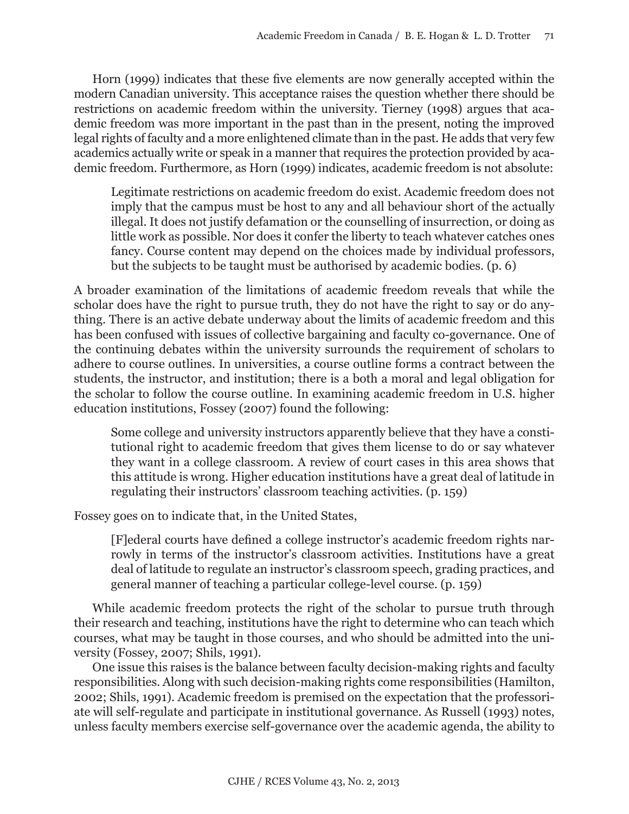Horn (1999) indicates that these five elements are now generally accepted within the modern Canadian university. This acceptance raises the question whether there should be restrictions on academic freedom within the university. Tierney (1998) argues that academic freedom was more important in the past than in the present, noting the improved legal rights of faculty and a more enlightened climate than in the past. He adds that very few academics actually write or speak in a manner that requires the protection provided by academic freedom. Furthermore, as Horn (1999) indicates, academic freedom is not absolute:

Legitimate restrictions on academic freedom do exist. Academic freedom does not imply that the campus must be host to any and all behaviour short of the actually illegal. It does not justify defamation or the counselling of insurrection, or doing as little work as possible. Nor does it confer the liberty to teach whatever catches ones fancy. Course content may depend on the choices made by individual professors, but the subjects to be taught must be authorised by academic bodies. (p. 6)

A broader examination of the limitations of academic freedom reveals that while the scholar does have the right to pursue truth, they do not have the right to say or do anything. There is an active debate underway about the limits of academic freedom and this has been confused with issues of collective bargaining and faculty co-governance. One of the continuing debates within the university surrounds the requirement of scholars to adhere to course outlines. In universities, a course outline forms a contract between the students, the instructor, and institution; there is a both a moral and legal obligation for the scholar to follow the course outline. In examining academic freedom in U.S. higher education institutions, Fossey (2007) found the following:

Some college and university instructors apparently believe that they have a constitutional right to academic freedom that gives them license to do or say whatever they want in a college classroom. A review of court cases in this area shows that this attitude is wrong. Higher education institutions have a great deal of latitude in regulating their instructors' classroom teaching activities. (p. 159)

Fossey goes on to indicate that, in the United States,

[F]ederal courts have defined a college instructor's academic freedom rights narrowly in terms of the instructor's classroom activities. Institutions have a great deal of latitude to regulate an instructor's classroom speech, grading practices, and general manner of teaching a particular college-level course. (p. 159)

While academic freedom protects the right of the scholar to pursue truth through their research and teaching, institutions have the right to determine who can teach which courses, what may be taught in those courses, and who should be admitted into the university (Fossey, 2007; Shils, 1991).

One issue this raises is the balance between faculty decision-making rights and faculty responsibilities*.* Along with such decision-making rights come responsibilities (Hamilton, 2002; Shils, 1991). Academic freedom is premised on the expectation that the professoriate will self-regulate and participate in institutional governance. As Russell (1993) notes, unless faculty members exercise self-governance over the academic agenda, the ability to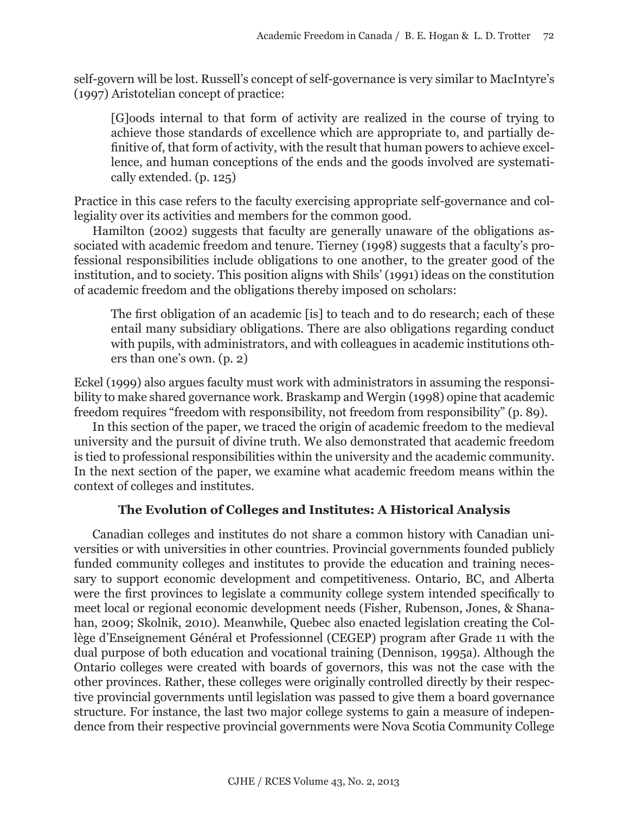self-govern will be lost. Russell's concept of self-governance is very similar to MacIntyre's (1997) Aristotelian concept of practice:

[G]oods internal to that form of activity are realized in the course of trying to achieve those standards of excellence which are appropriate to, and partially definitive of, that form of activity, with the result that human powers to achieve excellence, and human conceptions of the ends and the goods involved are systematically extended. (p. 125)

Practice in this case refers to the faculty exercising appropriate self-governance and collegiality over its activities and members for the common good.

Hamilton (2002) suggests that faculty are generally unaware of the obligations associated with academic freedom and tenure. Tierney (1998) suggests that a faculty's professional responsibilities include obligations to one another, to the greater good of the institution, and to society. This position aligns with Shils' (1991) ideas on the constitution of academic freedom and the obligations thereby imposed on scholars:

The first obligation of an academic [is] to teach and to do research; each of these entail many subsidiary obligations. There are also obligations regarding conduct with pupils, with administrators, and with colleagues in academic institutions others than one's own. (p. 2)

Eckel (1999) also argues faculty must work with administrators in assuming the responsibility to make shared governance work. Braskamp and Wergin (1998) opine that academic freedom requires "freedom with responsibility, not freedom from responsibility" (p. 89).

In this section of the paper, we traced the origin of academic freedom to the medieval university and the pursuit of divine truth. We also demonstrated that academic freedom is tied to professional responsibilities within the university and the academic community. In the next section of the paper, we examine what academic freedom means within the context of colleges and institutes.

# **The Evolution of Colleges and Institutes: A Historical Analysis**

Canadian colleges and institutes do not share a common history with Canadian universities or with universities in other countries. Provincial governments founded publicly funded community colleges and institutes to provide the education and training necessary to support economic development and competitiveness. Ontario, BC, and Alberta were the first provinces to legislate a community college system intended specifically to meet local or regional economic development needs (Fisher, Rubenson, Jones, & Shanahan, 2009; Skolnik, 2010). Meanwhile, Quebec also enacted legislation creating the Collège d'Enseignement Général et Professionnel (CEGEP) program after Grade 11 with the dual purpose of both education and vocational training (Dennison, 1995a). Although the Ontario colleges were created with boards of governors, this was not the case with the other provinces. Rather, these colleges were originally controlled directly by their respective provincial governments until legislation was passed to give them a board governance structure. For instance, the last two major college systems to gain a measure of independence from their respective provincial governments were Nova Scotia Community College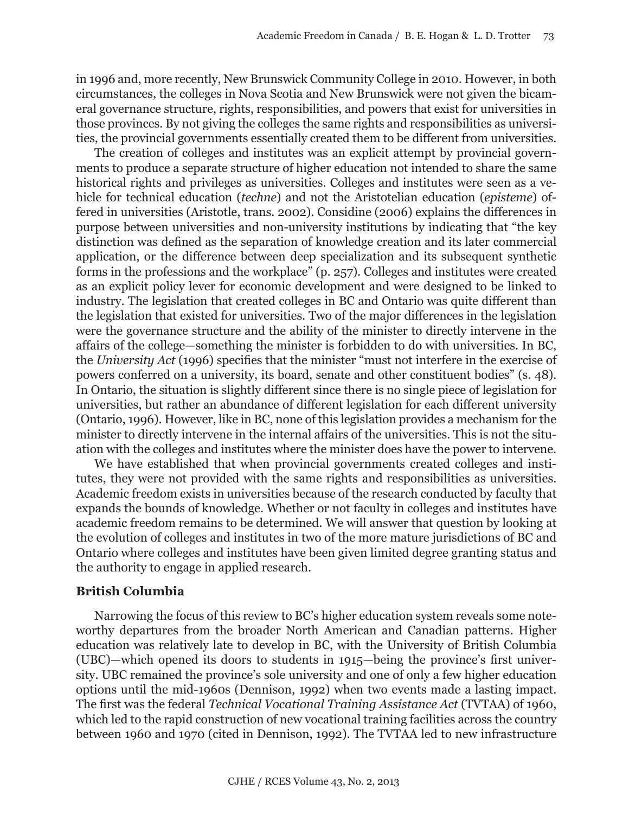in 1996 and, more recently, New Brunswick Community College in 2010. However, in both circumstances, the colleges in Nova Scotia and New Brunswick were not given the bicameral governance structure, rights, responsibilities, and powers that exist for universities in those provinces. By not giving the colleges the same rights and responsibilities as universities, the provincial governments essentially created them to be different from universities.

The creation of colleges and institutes was an explicit attempt by provincial governments to produce a separate structure of higher education not intended to share the same historical rights and privileges as universities. Colleges and institutes were seen as a vehicle for technical education (*techne*) and not the Aristotelian education (*episteme*) offered in universities (Aristotle, trans. 2002). Considine (2006) explains the differences in purpose between universities and non-university institutions by indicating that "the key distinction was defined as the separation of knowledge creation and its later commercial application, or the difference between deep specialization and its subsequent synthetic forms in the professions and the workplace" (p. 257). Colleges and institutes were created as an explicit policy lever for economic development and were designed to be linked to industry. The legislation that created colleges in BC and Ontario was quite different than the legislation that existed for universities. Two of the major differences in the legislation were the governance structure and the ability of the minister to directly intervene in the affairs of the college—something the minister is forbidden to do with universities. In BC, the *University Act* (1996) specifies that the minister "must not interfere in the exercise of powers conferred on a university, its board, senate and other constituent bodies" (s. 48). In Ontario, the situation is slightly different since there is no single piece of legislation for universities, but rather an abundance of different legislation for each different university (Ontario, 1996). However, like in BC, none of this legislation provides a mechanism for the minister to directly intervene in the internal affairs of the universities. This is not the situation with the colleges and institutes where the minister does have the power to intervene.

We have established that when provincial governments created colleges and institutes, they were not provided with the same rights and responsibilities as universities. Academic freedom exists in universities because of the research conducted by faculty that expands the bounds of knowledge. Whether or not faculty in colleges and institutes have academic freedom remains to be determined. We will answer that question by looking at the evolution of colleges and institutes in two of the more mature jurisdictions of BC and Ontario where colleges and institutes have been given limited degree granting status and the authority to engage in applied research.

# **British Columbia**

Narrowing the focus of this review to BC's higher education system reveals some noteworthy departures from the broader North American and Canadian patterns. Higher education was relatively late to develop in BC, with the University of British Columbia (UBC)—which opened its doors to students in 1915—being the province's first university. UBC remained the province's sole university and one of only a few higher education options until the mid-1960s (Dennison, 1992) when two events made a lasting impact. The first was the federal *Technical Vocational Training Assistance Act* (TVTAA) of 1960, which led to the rapid construction of new vocational training facilities across the country between 1960 and 1970 (cited in Dennison, 1992). The TVTAA led to new infrastructure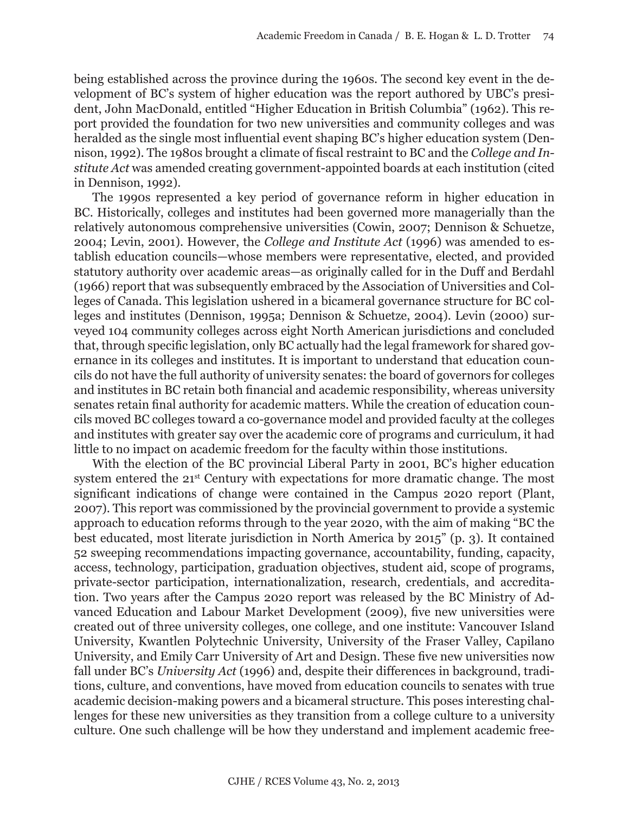being established across the province during the 1960s. The second key event in the development of BC's system of higher education was the report authored by UBC's president, John MacDonald, entitled "Higher Education in British Columbia" (1962). This report provided the foundation for two new universities and community colleges and was heralded as the single most influential event shaping BC's higher education system (Dennison, 1992). The 1980s brought a climate of fiscal restraint to BC and the *College and Institute Act* was amended creating government-appointed boards at each institution (cited in Dennison, 1992).

The 1990s represented a key period of governance reform in higher education in BC. Historically, colleges and institutes had been governed more managerially than the relatively autonomous comprehensive universities (Cowin, 2007; Dennison & Schuetze, 2004; Levin, 2001). However, the *College and Institute Act* (1996) was amended to establish education councils—whose members were representative, elected, and provided statutory authority over academic areas—as originally called for in the Duff and Berdahl (1966) report that was subsequently embraced by the Association of Universities and Colleges of Canada. This legislation ushered in a bicameral governance structure for BC colleges and institutes (Dennison, 1995a; Dennison & Schuetze, 2004). Levin (2000) surveyed 104 community colleges across eight North American jurisdictions and concluded that, through specific legislation, only BC actually had the legal framework for shared governance in its colleges and institutes. It is important to understand that education councils do not have the full authority of university senates: the board of governors for colleges and institutes in BC retain both financial and academic responsibility, whereas university senates retain final authority for academic matters. While the creation of education councils moved BC colleges toward a co-governance model and provided faculty at the colleges and institutes with greater say over the academic core of programs and curriculum, it had little to no impact on academic freedom for the faculty within those institutions.

With the election of the BC provincial Liberal Party in 2001, BC's higher education system entered the 21<sup>st</sup> Century with expectations for more dramatic change. The most significant indications of change were contained in the Campus 2020 report (Plant, 2007). This report was commissioned by the provincial government to provide a systemic approach to education reforms through to the year 2020, with the aim of making "BC the best educated, most literate jurisdiction in North America by 2015" (p. 3). It contained 52 sweeping recommendations impacting governance, accountability, funding, capacity, access, technology, participation, graduation objectives, student aid, scope of programs, private-sector participation, internationalization, research, credentials, and accreditation. Two years after the Campus 2020 report was released by the BC Ministry of Advanced Education and Labour Market Development (2009), five new universities were created out of three university colleges, one college, and one institute: Vancouver Island University, Kwantlen Polytechnic University, University of the Fraser Valley, Capilano University, and Emily Carr University of Art and Design. These five new universities now fall under BC's *University Act* (1996) and, despite their differences in background, traditions, culture, and conventions, have moved from education councils to senates with true academic decision-making powers and a bicameral structure. This poses interesting challenges for these new universities as they transition from a college culture to a university culture. One such challenge will be how they understand and implement academic free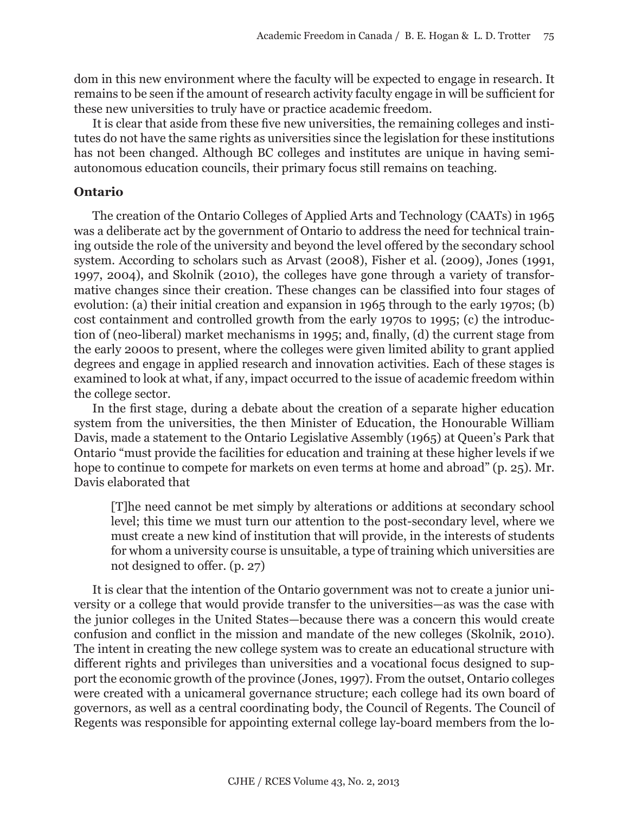dom in this new environment where the faculty will be expected to engage in research. It remains to be seen if the amount of research activity faculty engage in will be sufficient for these new universities to truly have or practice academic freedom.

It is clear that aside from these five new universities, the remaining colleges and institutes do not have the same rights as universities since the legislation for these institutions has not been changed. Although BC colleges and institutes are unique in having semiautonomous education councils, their primary focus still remains on teaching.

# **Ontario**

The creation of the Ontario Colleges of Applied Arts and Technology (CAATs) in 1965 was a deliberate act by the government of Ontario to address the need for technical training outside the role of the university and beyond the level offered by the secondary school system. According to scholars such as Arvast (2008), Fisher et al. (2009), Jones (1991, 1997, 2004), and Skolnik (2010), the colleges have gone through a variety of transformative changes since their creation. These changes can be classified into four stages of evolution: (a) their initial creation and expansion in 1965 through to the early 1970s; (b) cost containment and controlled growth from the early 1970s to 1995; (c) the introduction of (neo-liberal) market mechanisms in 1995; and, finally, (d) the current stage from the early 2000s to present, where the colleges were given limited ability to grant applied degrees and engage in applied research and innovation activities. Each of these stages is examined to look at what, if any, impact occurred to the issue of academic freedom within the college sector.

In the first stage, during a debate about the creation of a separate higher education system from the universities, the then Minister of Education, the Honourable William Davis, made a statement to the Ontario Legislative Assembly (1965) at Queen's Park that Ontario "must provide the facilities for education and training at these higher levels if we hope to continue to compete for markets on even terms at home and abroad" (p. 25). Mr. Davis elaborated that

[T]he need cannot be met simply by alterations or additions at secondary school level; this time we must turn our attention to the post-secondary level, where we must create a new kind of institution that will provide, in the interests of students for whom a university course is unsuitable, a type of training which universities are not designed to offer. (p. 27)

It is clear that the intention of the Ontario government was not to create a junior university or a college that would provide transfer to the universities—as was the case with the junior colleges in the United States—because there was a concern this would create confusion and conflict in the mission and mandate of the new colleges (Skolnik, 2010). The intent in creating the new college system was to create an educational structure with different rights and privileges than universities and a vocational focus designed to support the economic growth of the province (Jones, 1997). From the outset, Ontario colleges were created with a unicameral governance structure; each college had its own board of governors, as well as a central coordinating body, the Council of Regents. The Council of Regents was responsible for appointing external college lay-board members from the lo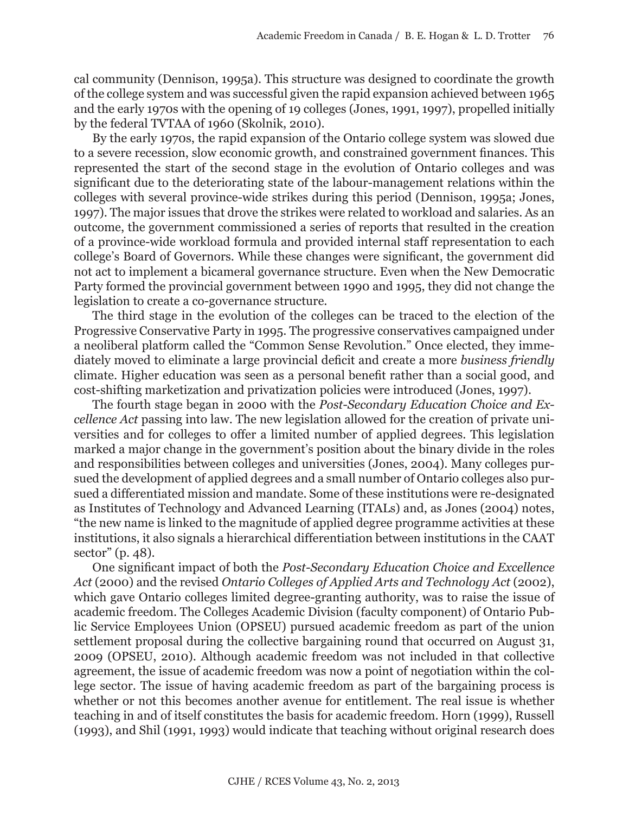cal community (Dennison, 1995a). This structure was designed to coordinate the growth of the college system and was successful given the rapid expansion achieved between 1965 and the early 1970s with the opening of 19 colleges (Jones, 1991, 1997), propelled initially by the federal TVTAA of 1960 (Skolnik, 2010).

By the early 1970s, the rapid expansion of the Ontario college system was slowed due to a severe recession, slow economic growth, and constrained government finances. This represented the start of the second stage in the evolution of Ontario colleges and was significant due to the deteriorating state of the labour-management relations within the colleges with several province-wide strikes during this period (Dennison, 1995a; Jones, 1997). The major issues that drove the strikes were related to workload and salaries. As an outcome, the government commissioned a series of reports that resulted in the creation of a province-wide workload formula and provided internal staff representation to each college's Board of Governors. While these changes were significant, the government did not act to implement a bicameral governance structure. Even when the New Democratic Party formed the provincial government between 1990 and 1995, they did not change the legislation to create a co-governance structure.

The third stage in the evolution of the colleges can be traced to the election of the Progressive Conservative Party in 1995. The progressive conservatives campaigned under a neoliberal platform called the "Common Sense Revolution." Once elected, they immediately moved to eliminate a large provincial deficit and create a more *business friendly* climate. Higher education was seen as a personal benefit rather than a social good, and cost-shifting marketization and privatization policies were introduced (Jones, 1997).

The fourth stage began in 2000 with the *Post-Secondary Education Choice and Excellence Act* passing into law. The new legislation allowed for the creation of private universities and for colleges to offer a limited number of applied degrees. This legislation marked a major change in the government's position about the binary divide in the roles and responsibilities between colleges and universities (Jones, 2004). Many colleges pursued the development of applied degrees and a small number of Ontario colleges also pursued a differentiated mission and mandate. Some of these institutions were re-designated as Institutes of Technology and Advanced Learning (ITALs) and, as Jones (2004) notes, "the new name is linked to the magnitude of applied degree programme activities at these institutions, it also signals a hierarchical differentiation between institutions in the CAAT sector" (p. 48).

One significant impact of both the *Post-Secondary Education Choice and Excellence Act* (2000) and the revised *Ontario Colleges of Applied Arts and Technology Act* (2002), which gave Ontario colleges limited degree-granting authority, was to raise the issue of academic freedom. The Colleges Academic Division (faculty component) of Ontario Public Service Employees Union (OPSEU) pursued academic freedom as part of the union settlement proposal during the collective bargaining round that occurred on August 31, 2009 (OPSEU, 2010). Although academic freedom was not included in that collective agreement, the issue of academic freedom was now a point of negotiation within the college sector. The issue of having academic freedom as part of the bargaining process is whether or not this becomes another avenue for entitlement. The real issue is whether teaching in and of itself constitutes the basis for academic freedom. Horn (1999), Russell (1993), and Shil (1991, 1993) would indicate that teaching without original research does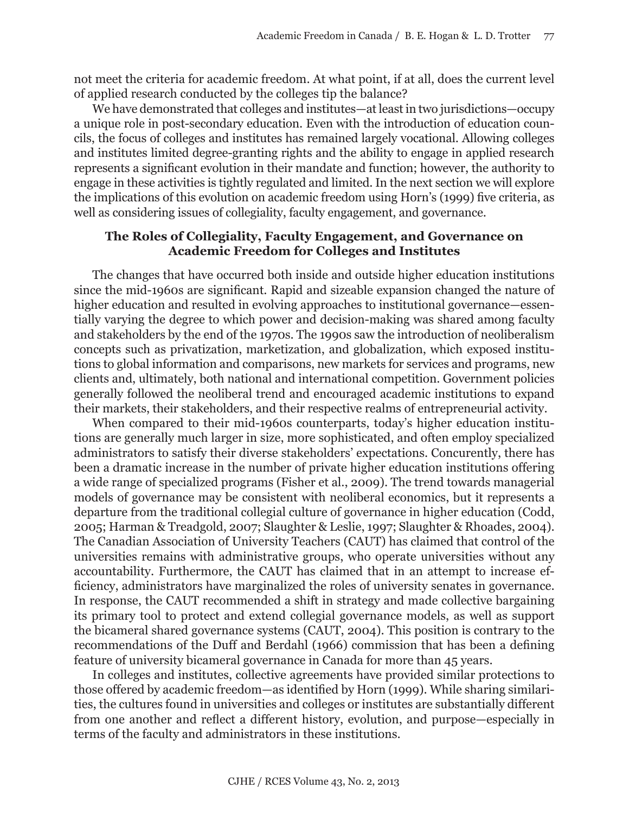not meet the criteria for academic freedom. At what point, if at all, does the current level of applied research conducted by the colleges tip the balance?

We have demonstrated that colleges and institutes—at least in two jurisdictions—occupy a unique role in post-secondary education. Even with the introduction of education councils, the focus of colleges and institutes has remained largely vocational. Allowing colleges and institutes limited degree-granting rights and the ability to engage in applied research represents a significant evolution in their mandate and function; however, the authority to engage in these activities is tightly regulated and limited. In the next section we will explore the implications of this evolution on academic freedom using Horn's (1999) five criteria, as well as considering issues of collegiality, faculty engagement, and governance.

## **The Roles of Collegiality, Faculty Engagement, and Governance on Academic Freedom for Colleges and Institutes**

The changes that have occurred both inside and outside higher education institutions since the mid-1960s are significant. Rapid and sizeable expansion changed the nature of higher education and resulted in evolving approaches to institutional governance—essentially varying the degree to which power and decision-making was shared among faculty and stakeholders by the end of the 1970s. The 1990s saw the introduction of neoliberalism concepts such as privatization, marketization, and globalization, which exposed institutions to global information and comparisons, new markets for services and programs, new clients and, ultimately, both national and international competition. Government policies generally followed the neoliberal trend and encouraged academic institutions to expand their markets, their stakeholders, and their respective realms of entrepreneurial activity.

When compared to their mid-1960s counterparts, today's higher education institutions are generally much larger in size, more sophisticated, and often employ specialized administrators to satisfy their diverse stakeholders' expectations. Concurently, there has been a dramatic increase in the number of private higher education institutions offering a wide range of specialized programs (Fisher et al., 2009). The trend towards managerial models of governance may be consistent with neoliberal economics, but it represents a departure from the traditional collegial culture of governance in higher education (Codd, 2005; Harman & Treadgold, 2007; Slaughter & Leslie, 1997; Slaughter & Rhoades, 2004). The Canadian Association of University Teachers (CAUT) has claimed that control of the universities remains with administrative groups, who operate universities without any accountability. Furthermore, the CAUT has claimed that in an attempt to increase efficiency, administrators have marginalized the roles of university senates in governance. In response, the CAUT recommended a shift in strategy and made collective bargaining its primary tool to protect and extend collegial governance models, as well as support the bicameral shared governance systems (CAUT, 2004). This position is contrary to the recommendations of the Duff and Berdahl (1966) commission that has been a defining feature of university bicameral governance in Canada for more than 45 years.

In colleges and institutes, collective agreements have provided similar protections to those offered by academic freedom—as identified by Horn (1999). While sharing similarities, the cultures found in universities and colleges or institutes are substantially different from one another and reflect a different history, evolution, and purpose—especially in terms of the faculty and administrators in these institutions.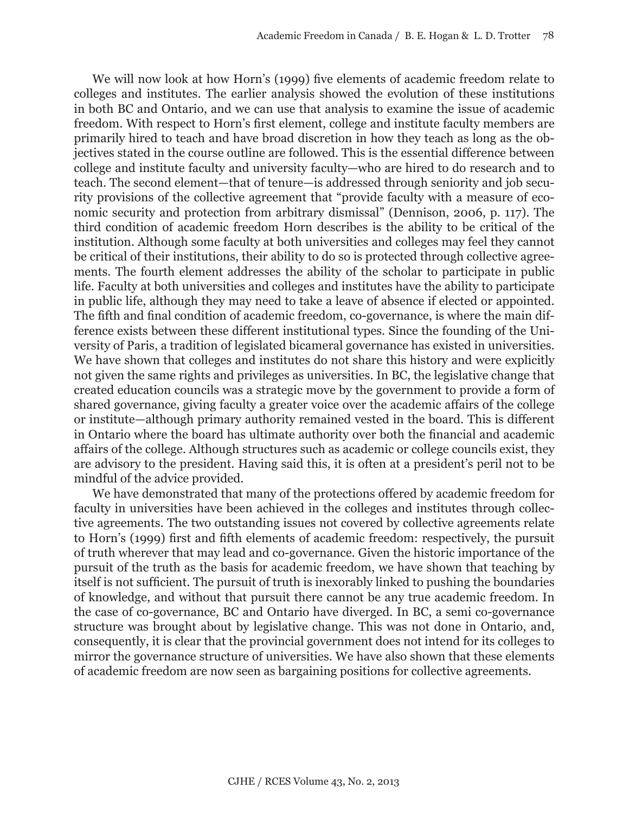We will now look at how Horn's (1999) five elements of academic freedom relate to colleges and institutes. The earlier analysis showed the evolution of these institutions in both BC and Ontario, and we can use that analysis to examine the issue of academic freedom. With respect to Horn's first element, college and institute faculty members are primarily hired to teach and have broad discretion in how they teach as long as the objectives stated in the course outline are followed. This is the essential difference between college and institute faculty and university faculty—who are hired to do research and to teach. The second element—that of tenure—is addressed through seniority and job security provisions of the collective agreement that "provide faculty with a measure of economic security and protection from arbitrary dismissal" (Dennison, 2006, p. 117). The third condition of academic freedom Horn describes is the ability to be critical of the institution. Although some faculty at both universities and colleges may feel they cannot be critical of their institutions, their ability to do so is protected through collective agreements. The fourth element addresses the ability of the scholar to participate in public life. Faculty at both universities and colleges and institutes have the ability to participate in public life, although they may need to take a leave of absence if elected or appointed. The fifth and final condition of academic freedom, co-governance, is where the main difference exists between these different institutional types. Since the founding of the University of Paris, a tradition of legislated bicameral governance has existed in universities. We have shown that colleges and institutes do not share this history and were explicitly not given the same rights and privileges as universities. In BC, the legislative change that created education councils was a strategic move by the government to provide a form of shared governance, giving faculty a greater voice over the academic affairs of the college or institute—although primary authority remained vested in the board. This is different in Ontario where the board has ultimate authority over both the financial and academic affairs of the college. Although structures such as academic or college councils exist, they are advisory to the president. Having said this, it is often at a president's peril not to be mindful of the advice provided.

We have demonstrated that many of the protections offered by academic freedom for faculty in universities have been achieved in the colleges and institutes through collective agreements. The two outstanding issues not covered by collective agreements relate to Horn's (1999) first and fifth elements of academic freedom: respectively, the pursuit of truth wherever that may lead and co-governance. Given the historic importance of the pursuit of the truth as the basis for academic freedom, we have shown that teaching by itself is not sufficient. The pursuit of truth is inexorably linked to pushing the boundaries of knowledge, and without that pursuit there cannot be any true academic freedom. In the case of co-governance, BC and Ontario have diverged. In BC, a semi co-governance structure was brought about by legislative change. This was not done in Ontario, and, consequently, it is clear that the provincial government does not intend for its colleges to mirror the governance structure of universities. We have also shown that these elements of academic freedom are now seen as bargaining positions for collective agreements.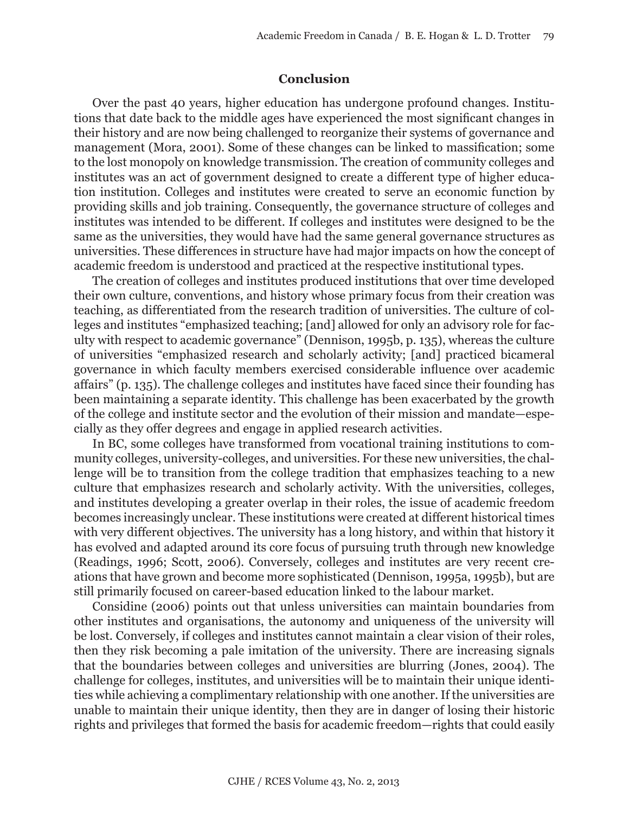### **Conclusion**

Over the past 40 years, higher education has undergone profound changes. Institutions that date back to the middle ages have experienced the most significant changes in their history and are now being challenged to reorganize their systems of governance and management (Mora, 2001). Some of these changes can be linked to massification; some to the lost monopoly on knowledge transmission. The creation of community colleges and institutes was an act of government designed to create a different type of higher education institution. Colleges and institutes were created to serve an economic function by providing skills and job training. Consequently, the governance structure of colleges and institutes was intended to be different. If colleges and institutes were designed to be the same as the universities, they would have had the same general governance structures as universities. These differences in structure have had major impacts on how the concept of academic freedom is understood and practiced at the respective institutional types.

The creation of colleges and institutes produced institutions that over time developed their own culture, conventions, and history whose primary focus from their creation was teaching, as differentiated from the research tradition of universities. The culture of colleges and institutes "emphasized teaching; [and] allowed for only an advisory role for faculty with respect to academic governance" (Dennison, 1995b, p. 135), whereas the culture of universities "emphasized research and scholarly activity; [and] practiced bicameral governance in which faculty members exercised considerable influence over academic affairs" (p. 135). The challenge colleges and institutes have faced since their founding has been maintaining a separate identity. This challenge has been exacerbated by the growth of the college and institute sector and the evolution of their mission and mandate—especially as they offer degrees and engage in applied research activities.

In BC, some colleges have transformed from vocational training institutions to community colleges, university-colleges, and universities. For these new universities, the challenge will be to transition from the college tradition that emphasizes teaching to a new culture that emphasizes research and scholarly activity. With the universities, colleges, and institutes developing a greater overlap in their roles, the issue of academic freedom becomes increasingly unclear. These institutions were created at different historical times with very different objectives. The university has a long history, and within that history it has evolved and adapted around its core focus of pursuing truth through new knowledge (Readings, 1996; Scott, 2006). Conversely, colleges and institutes are very recent creations that have grown and become more sophisticated (Dennison, 1995a, 1995b), but are still primarily focused on career-based education linked to the labour market.

Considine (2006) points out that unless universities can maintain boundaries from other institutes and organisations, the autonomy and uniqueness of the university will be lost. Conversely, if colleges and institutes cannot maintain a clear vision of their roles, then they risk becoming a pale imitation of the university. There are increasing signals that the boundaries between colleges and universities are blurring (Jones, 2004). The challenge for colleges, institutes, and universities will be to maintain their unique identities while achieving a complimentary relationship with one another. If the universities are unable to maintain their unique identity, then they are in danger of losing their historic rights and privileges that formed the basis for academic freedom—rights that could easily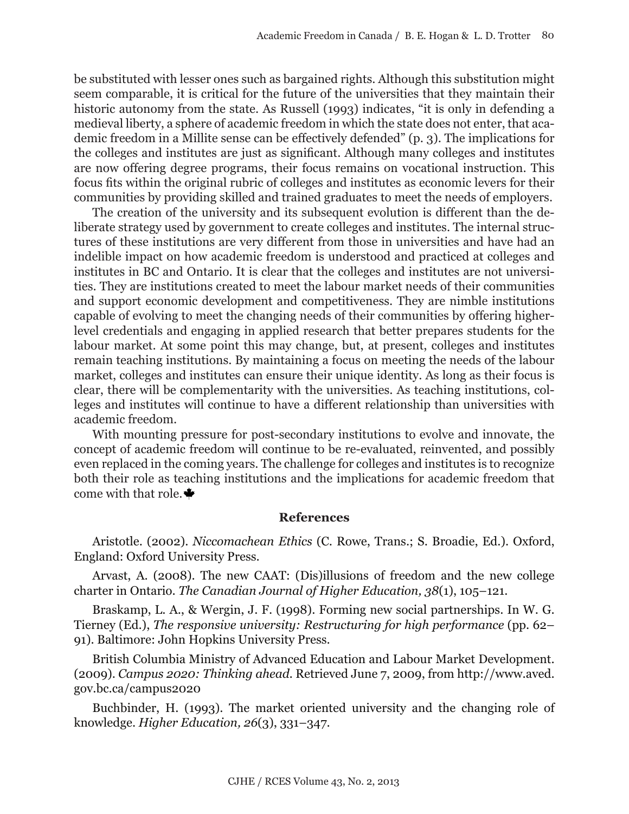be substituted with lesser ones such as bargained rights. Although this substitution might seem comparable, it is critical for the future of the universities that they maintain their historic autonomy from the state. As Russell (1993) indicates, "it is only in defending a medieval liberty, a sphere of academic freedom in which the state does not enter, that academic freedom in a Millite sense can be effectively defended" (p. 3). The implications for the colleges and institutes are just as significant. Although many colleges and institutes are now offering degree programs, their focus remains on vocational instruction. This focus fits within the original rubric of colleges and institutes as economic levers for their communities by providing skilled and trained graduates to meet the needs of employers.

The creation of the university and its subsequent evolution is different than the deliberate strategy used by government to create colleges and institutes. The internal structures of these institutions are very different from those in universities and have had an indelible impact on how academic freedom is understood and practiced at colleges and institutes in BC and Ontario. It is clear that the colleges and institutes are not universities. They are institutions created to meet the labour market needs of their communities and support economic development and competitiveness. They are nimble institutions capable of evolving to meet the changing needs of their communities by offering higherlevel credentials and engaging in applied research that better prepares students for the labour market. At some point this may change, but, at present, colleges and institutes remain teaching institutions. By maintaining a focus on meeting the needs of the labour market, colleges and institutes can ensure their unique identity. As long as their focus is clear, there will be complementarity with the universities. As teaching institutions, colleges and institutes will continue to have a different relationship than universities with academic freedom.

With mounting pressure for post-secondary institutions to evolve and innovate, the concept of academic freedom will continue to be re-evaluated, reinvented, and possibly even replaced in the coming years. The challenge for colleges and institutes is to recognize both their role as teaching institutions and the implications for academic freedom that come with that role. $\clubsuit$ 

### **References**

Aristotle. (2002). *Niccomachean Ethics* (C. Rowe, Trans.; S. Broadie, Ed.). Oxford, England: Oxford University Press.

Arvast, A. (2008). The new CAAT: (Dis)illusions of freedom and the new college charter in Ontario. *The Canadian Journal of Higher Education, 38*(1), 105–121.

Braskamp, L. A., & Wergin, J. F. (1998). Forming new social partnerships. In W. G. Tierney (Ed.), *The responsive university: Restructuring for high performance* (pp. 62– 91). Baltimore: John Hopkins University Press.

British Columbia Ministry of Advanced Education and Labour Market Development. (2009). *Campus 2020: Thinking ahead.* Retrieved June 7, 2009, from http://www.aved. gov.bc.ca/campus2020

Buchbinder, H. (1993). The market oriented university and the changing role of knowledge. *Higher Education, 26*(3), 331–347.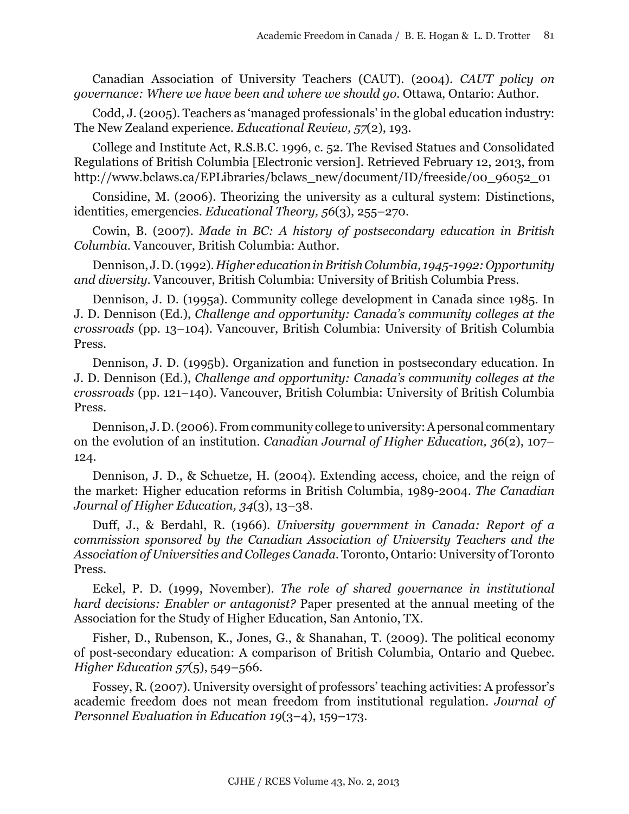Canadian Association of University Teachers (CAUT). (2004). *CAUT policy on governance: Where we have been and where we should go.* Ottawa, Ontario: Author.

Codd, J. (2005). Teachers as 'managed professionals' in the global education industry: The New Zealand experience. *Educational Review, 57*(2), 193.

College and Institute Act, R.S.B.C. 1996, c. 52. The Revised Statues and Consolidated Regulations of British Columbia [Electronic version]. Retrieved February 12, 2013, from http://www.bclaws.ca/EPLibraries/bclaws\_new/document/ID/freeside/00\_96052\_01

Considine, M. (2006). Theorizing the university as a cultural system: Distinctions, identities, emergencies. *Educational Theory, 56*(3), 255–270.

Cowin, B. (2007). *Made in BC: A history of postsecondary education in British Columbia.* Vancouver, British Columbia: Author.

Dennison, J. D. (1992). *Higher education in British Columbia, 1945-1992: Opportunity and diversity.* Vancouver, British Columbia: University of British Columbia Press.

Dennison, J. D. (1995a). Community college development in Canada since 1985. In J. D. Dennison (Ed.), *Challenge and opportunity: Canada's community colleges at the crossroads* (pp. 13–104). Vancouver, British Columbia: University of British Columbia Press.

Dennison, J. D. (1995b). Organization and function in postsecondary education. In J. D. Dennison (Ed.), *Challenge and opportunity: Canada's community colleges at the crossroads* (pp. 121–140). Vancouver, British Columbia: University of British Columbia Press.

Dennison, J. D. (2006). From community college to university: A personal commentary on the evolution of an institution. *Canadian Journal of Higher Education, 36*(2), 107– 124.

Dennison, J. D., & Schuetze, H. (2004). Extending access, choice, and the reign of the market: Higher education reforms in British Columbia, 1989-2004. *The Canadian Journal of Higher Education, 34*(3), 13–38.

Duff, J., & Berdahl, R. (1966). *University government in Canada: Report of a commission sponsored by the Canadian Association of University Teachers and the Association of Universities and Colleges Canada.* Toronto, Ontario: University of Toronto Press.

Eckel, P. D. (1999, November). *The role of shared governance in institutional hard decisions: Enabler or antagonist?* Paper presented at the annual meeting of the Association for the Study of Higher Education, San Antonio, TX.

Fisher, D., Rubenson, K., Jones, G., & Shanahan, T. (2009). The political economy of post-secondary education: A comparison of British Columbia, Ontario and Quebec. *Higher Education 57*(5), 549–566.

Fossey, R. (2007). University oversight of professors' teaching activities: A professor's academic freedom does not mean freedom from institutional regulation. *Journal of Personnel Evaluation in Education 19*(3–4), 159–173.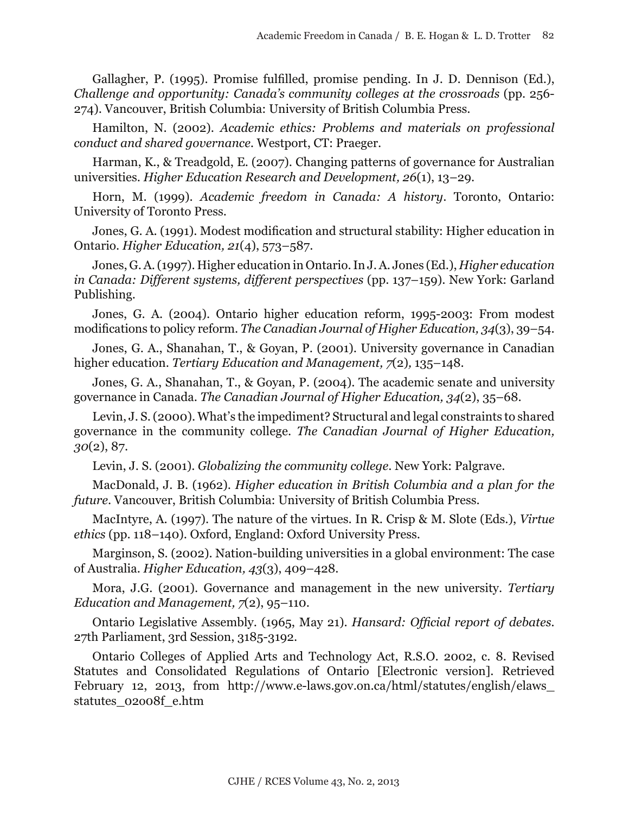Gallagher, P. (1995). Promise fulfilled, promise pending. In J. D. Dennison (Ed.), *Challenge and opportunity: Canada's community colleges at the crossroads* (pp. 256- 274). Vancouver, British Columbia: University of British Columbia Press.

Hamilton, N. (2002). *Academic ethics: Problems and materials on professional conduct and shared governance.* Westport, CT: Praeger.

Harman, K., & Treadgold, E. (2007). Changing patterns of governance for Australian universities. *Higher Education Research and Development, 26*(1), 13–29.

Horn, M. (1999). *Academic freedom in Canada: A history*. Toronto, Ontario: University of Toronto Press.

Jones, G. A. (1991). Modest modification and structural stability: Higher education in Ontario. *Higher Education, 21*(4), 573–587.

Jones, G. A. (1997). Higher education in Ontario. In J. A. Jones (Ed.), *Higher education in Canada: Different systems, different perspectives* (pp. 137–159). New York: Garland Publishing.

Jones, G. A. (2004). Ontario higher education reform, 1995-2003: From modest modifications to policy reform. *The Canadian Journal of Higher Education, 34*(3), 39–54.

Jones, G. A., Shanahan, T., & Goyan, P. (2001). University governance in Canadian higher education. *Tertiary Education and Management, 7*(2)*,* 135–148.

Jones, G. A., Shanahan, T., & Goyan, P. (2004). The academic senate and university governance in Canada. *The Canadian Journal of Higher Education, 34*(2), 35–68.

Levin, J. S. (2000). What's the impediment? Structural and legal constraints to shared governance in the community college. *The Canadian Journal of Higher Education, 30*(2), 87.

Levin, J. S. (2001). *Globalizing the community college*. New York: Palgrave.

MacDonald, J. B. (1962). *Higher education in British Columbia and a plan for the future*. Vancouver, British Columbia: University of British Columbia Press.

MacIntyre, A. (1997). The nature of the virtues. In R. Crisp & M. Slote (Eds.), *Virtue ethics* (pp. 118–140). Oxford, England: Oxford University Press.

Marginson, S. (2002). Nation-building universities in a global environment: The case of Australia. *Higher Education, 43*(3), 409–428.

Mora, J.G. (2001). Governance and management in the new university. *Tertiary Education and Management, 7*(2), 95–110.

Ontario Legislative Assembly. (1965, May 21). *Hansard: Official report of debates.*  27th Parliament, 3rd Session, 3185-3192.

Ontario Colleges of Applied Arts and Technology Act, R.S.O. 2002, c. 8. Revised Statutes and Consolidated Regulations of Ontario [Electronic version]. Retrieved February 12, 2013, from http://www.e-laws.gov.on.ca/html/statutes/english/elaws\_ statutes\_02o08f\_e.htm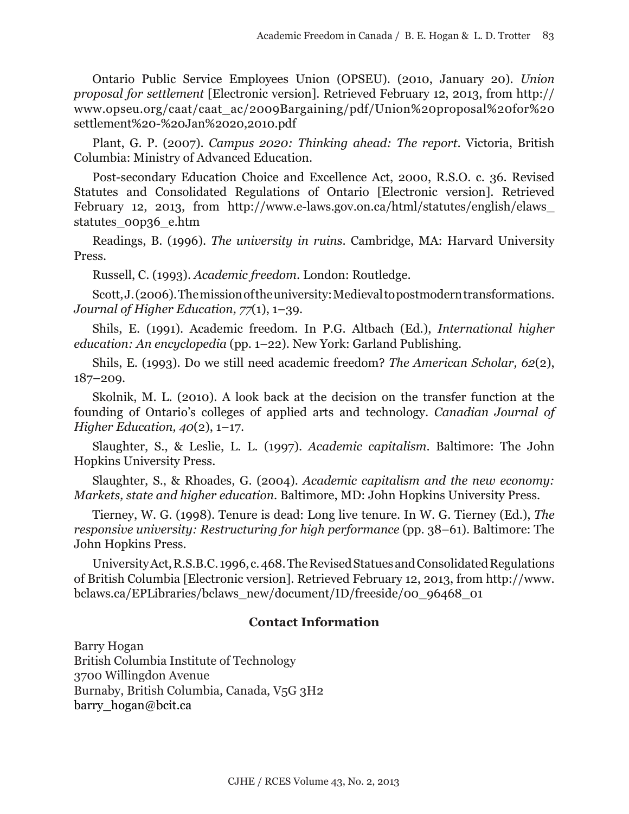Ontario Public Service Employees Union (OPSEU). (2010, January 20). *Union proposal for settlement* [Electronic version]. Retrieved February 12, 2013, from http:// www.opseu.org/caat/caat\_ac/2009Bargaining/pdf/Union%20proposal%20for%20 settlement%20-%20Jan%2020,2010.pdf

Plant, G. P. (2007). *Campus 2020: Thinking ahead: The report*. Victoria, British Columbia: Ministry of Advanced Education.

Post-secondary Education Choice and Excellence Act, 2000, R.S.O. c. 36. Revised Statutes and Consolidated Regulations of Ontario [Electronic version]. Retrieved February 12, 2013, from http://www.e-laws.gov.on.ca/html/statutes/english/elaws\_ statutes\_00p36\_e.htm

Readings, B. (1996). *The university in ruins*. Cambridge, MA: Harvard University Press.

Russell, C. (1993). *Academic freedom*. London: Routledge.

Scott, J. (2006). The mission of the university: Medieval to postmodern transformations. *Journal of Higher Education, 77*(1), 1–39.

Shils, E. (1991). Academic freedom. In P.G. Altbach (Ed.), *International higher education: An encyclopedia* (pp. 1–22). New York: Garland Publishing.

Shils, E. (1993). Do we still need academic freedom? *The American Scholar, 62*(2), 187–209.

Skolnik, M. L. (2010). A look back at the decision on the transfer function at the founding of Ontario's colleges of applied arts and technology. *Canadian Journal of Higher Education, 40*(2), 1–17.

Slaughter, S., & Leslie, L. L. (1997). *Academic capitalism*. Baltimore: The John Hopkins University Press.

Slaughter, S., & Rhoades, G. (2004). *Academic capitalism and the new economy: Markets, state and higher education*. Baltimore, MD: John Hopkins University Press.

Tierney, W. G. (1998). Tenure is dead: Long live tenure. In W. G. Tierney (Ed.), *The responsive university: Restructuring for high performance* (pp. 38–61). Baltimore: The John Hopkins Press.

University Act, R.S.B.C. 1996, c. 468. The Revised Statues and Consolidated Regulations of British Columbia [Electronic version]. Retrieved February 12, 2013, from http://www. bclaws.ca/EPLibraries/bclaws\_new/document/ID/freeside/00\_96468\_01

## **Contact Information**

Barry Hogan British Columbia Institute of Technology 3700 Willingdon Avenue Burnaby, British Columbia, Canada, V5G 3H2 barry\_hogan@bcit.ca